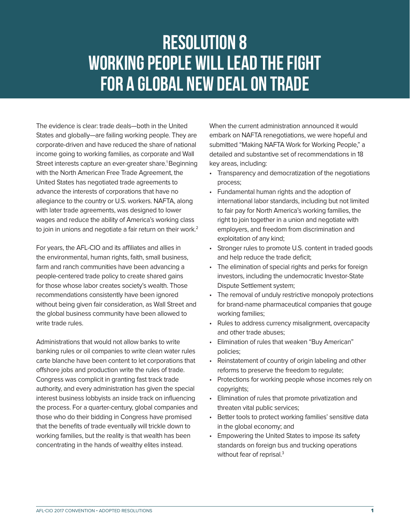## Resolution 8 WORKING PEOPLE WILL LEAD THE FIGHT FOR A GLOBAL NEW DEAL ON TRADE

The evidence is clear: trade deals—both in the United States and globally—are failing working people. They are corporate-driven and have reduced the share of national income going to working families, as corporate and Wall Street interests capture an ever-greater share.<sup>1</sup> Beginning with the North American Free Trade Agreement, the United States has negotiated trade agreements to advance the interests of corporations that have no allegiance to the country or U.S. workers. NAFTA, along with later trade agreements, was designed to lower wages and reduce the ability of America's working class to join in unions and negotiate a fair return on their work.<sup>2</sup>

For years, the AFL-CIO and its affiliates and allies in the environmental, human rights, faith, small business, farm and ranch communities have been advancing a people-centered trade policy to create shared gains for those whose labor creates society's wealth. Those recommendations consistently have been ignored without being given fair consideration, as Wall Street and the global business community have been allowed to write trade rules.

Administrations that would not allow banks to write banking rules or oil companies to write clean water rules carte blanche have been content to let corporations that offshore jobs and production write the rules of trade. Congress was complicit in granting fast track trade authority, and every administration has given the special interest business lobbyists an inside track on influencing the process. For a quarter-century, global companies and those who do their bidding in Congress have promised that the benefits of trade eventually will trickle down to working families, but the reality is that wealth has been concentrating in the hands of wealthy elites instead.

When the current administration announced it would embark on NAFTA renegotiations, we were hopeful and submitted "Making NAFTA Work for Working People," a detailed and substantive set of recommendations in 18 key areas, including:

- Transparency and democratization of the negotiations process;
- Fundamental human rights and the adoption of international labor standards, including but not limited to fair pay for North America's working families, the right to join together in a union and negotiate with employers, and freedom from discrimination and exploitation of any kind;
- Stronger rules to promote U.S. content in traded goods and help reduce the trade deficit;
- The elimination of special rights and perks for foreign investors, including the undemocratic Investor-State Dispute Settlement system;
- The removal of unduly restrictive monopoly protections for brand-name pharmaceutical companies that gouge working families;
- Rules to address currency misalignment, overcapacity and other trade abuses;
- Elimination of rules that weaken "Buy American" policies;
- Reinstatement of country of origin labeling and other reforms to preserve the freedom to regulate;
- Protections for working people whose incomes rely on copyrights;
- Elimination of rules that promote privatization and threaten vital public services;
- Better tools to protect working families' sensitive data in the global economy; and
- Empowering the United States to impose its safety standards on foreign bus and trucking operations without fear of reprisal.<sup>3</sup>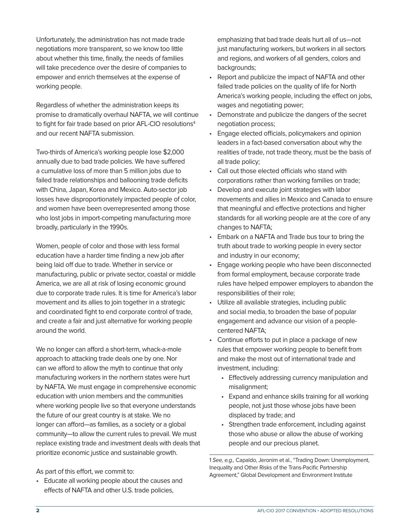Unfortunately, the administration has not made trade negotiations more transparent, so we know too little about whether this time, finally, the needs of families will take precedence over the desire of companies to empower and enrich themselves at the expense of working people.

Regardless of whether the administration keeps its promise to dramatically overhaul NAFTA, we will continue to fight for fair trade based on prior AFL-CIO resolutions $4$ and our recent NAFTA submission.

Two-thirds of America's working people lose \$2,000 annually due to bad trade policies. We have suffered a cumulative loss of more than 5 million jobs due to failed trade relationships and ballooning trade deficits with China, Japan, Korea and Mexico. Auto-sector job losses have disproportionately impacted people of color, and women have been overrepresented among those who lost jobs in import-competing manufacturing more broadly, particularly in the 1990s.

Women, people of color and those with less formal education have a harder time finding a new job after being laid off due to trade. Whether in service or manufacturing, public or private sector, coastal or middle America, we are all at risk of losing economic ground due to corporate trade rules. It is time for America's labor movement and its allies to join together in a strategic and coordinated fight to end corporate control of trade, and create a fair and just alternative for working people around the world.

We no longer can afford a short-term, whack-a-mole approach to attacking trade deals one by one. Nor can we afford to allow the myth to continue that only manufacturing workers in the northern states were hurt by NAFTA. We must engage in comprehensive economic education with union members and the communities where working people live so that everyone understands the future of our great country is at stake. We no longer can afford—as families, as a society or a global community—to allow the current rules to prevail. We must replace existing trade and investment deals with deals that prioritize economic justice and sustainable growth.

As part of this effort, we commit to:

• Educate all working people about the causes and effects of NAFTA and other U.S. trade policies,

emphasizing that bad trade deals hurt all of us—not just manufacturing workers, but workers in all sectors and regions, and workers of all genders, colors and backgrounds:

- Report and publicize the impact of NAFTA and other failed trade policies on the quality of life for North America's working people, including the effect on jobs, wages and negotiating power;
- Demonstrate and publicize the dangers of the secret negotiation process;
- Engage elected officials, policymakers and opinion leaders in a fact-based conversation about why the realities of trade, not trade theory, must be the basis of all trade policy;
- Call out those elected officials who stand with corporations rather than working families on trade;
- Develop and execute joint strategies with labor movements and allies in Mexico and Canada to ensure that meaningful and effective protections and higher standards for all working people are at the core of any changes to NAFTA;
- Embark on a NAFTA and Trade bus tour to bring the truth about trade to working people in every sector and industry in our economy;
- Engage working people who have been disconnected from formal employment, because corporate trade rules have helped empower employers to abandon the responsibilities of their role;
- Utilize all available strategies, including public and social media, to broaden the base of popular engagement and advance our vision of a peoplecentered NAFTA;
- Continue efforts to put in place a package of new rules that empower working people to benefit from and make the most out of international trade and investment, including:
	- Effectively addressing currency manipulation and misalignment;
	- Expand and enhance skills training for all working people, not just those whose jobs have been displaced by trade; and
	- Strengthen trade enforcement, including against those who abuse or allow the abuse of working people and our precious planet.

1 See, e.g., Capaldo, Jeronim et al., "Trading Down: Unemployment, Inequality and Other Risks of the Trans-Pacific Partnership Agreement," Global Development and Environment Institute